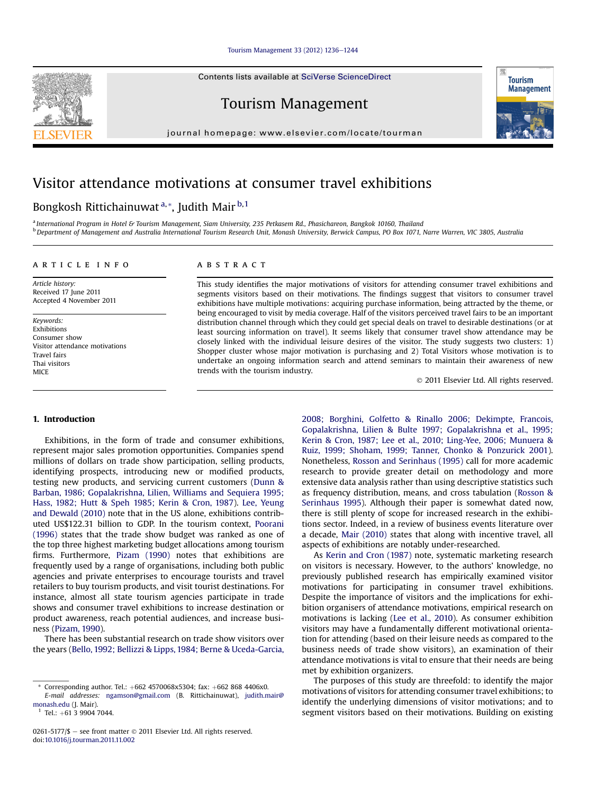#### [Tourism Management 33 \(2012\) 1236](http://dx.doi.org/10.1016/j.tourman.2011.11.002)-[1244](http://dx.doi.org/10.1016/j.tourman.2011.11.002)

Contents lists available at SciVerse ScienceDirect

Tourism Management

journal homepage: [www.elsevier.com/locate/tourman](http://www.elsevier.com/locate/tourman)

### Visitor attendance motivations at consumer travel exhibitions

## Bongkosh Rittichainuwat<sup>a,\*</sup>, Judith Mair<sup>b,1</sup>

a International Program in Hotel & Tourism Management, Siam University, 235 Petkasem Rd., Phasichareon, Bangkok 10160, Thailand <sup>b</sup> Department of Management and Australia International Tourism Research Unit, Monash University, Berwick Campus, PO Box 1071, Narre Warren, VIC 3805, Australia

#### article info

Article history: Received 17 June 2011 Accepted 4 November 2011

Keywords: Exhibitions Consumer show Visitor attendance motivations Travel fairs Thai visitors **MICE** 

### ABSTRACT

This study identifies the major motivations of visitors for attending consumer travel exhibitions and segments visitors based on their motivations. The findings suggest that visitors to consumer travel exhibitions have multiple motivations: acquiring purchase information, being attracted by the theme, or being encouraged to visit by media coverage. Half of the visitors perceived travel fairs to be an important distribution channel through which they could get special deals on travel to desirable destinations (or at least sourcing information on travel). It seems likely that consumer travel show attendance may be closely linked with the individual leisure desires of the visitor. The study suggests two clusters: 1) Shopper cluster whose major motivation is purchasing and 2) Total Visitors whose motivation is to undertake an ongoing information search and attend seminars to maintain their awareness of new trends with the tourism industry.

2011 Elsevier Ltd. All rights reserved.

#### 1. Introduction

Exhibitions, in the form of trade and consumer exhibitions, represent major sales promotion opportunities. Companies spend millions of dollars on trade show participation, selling products, identifying prospects, introducing new or modified products, testing new products, and servicing current customers ([Dunn &](#page--1-0) [Barban, 1986; Gopalakrishna, Lilien, Williams and Sequiera 1995;](#page--1-0) [Hass, 1982; Hutt & Speh 1985; Kerin & Cron, 1987\)](#page--1-0). [Lee, Yeung](#page--1-0) [and Dewald \(2010\)](#page--1-0) note that in the US alone, exhibitions contributed US\$122.31 billion to GDP. In the tourism context, [Poorani](#page--1-0) [\(1996\)](#page--1-0) states that the trade show budget was ranked as one of the top three highest marketing budget allocations among tourism firms. Furthermore, [Pizam \(1990\)](#page--1-0) notes that exhibitions are frequently used by a range of organisations, including both public agencies and private enterprises to encourage tourists and travel retailers to buy tourism products, and visit tourist destinations. For instance, almost all state tourism agencies participate in trade shows and consumer travel exhibitions to increase destination or product awareness, reach potential audiences, and increase business ([Pizam, 1990](#page--1-0)).

There has been substantial research on trade show visitors over the years ([Bello, 1992; Bellizzi & Lipps, 1984; Berne & Uceda-Garcia,](#page--1-0) [2008; Borghini, Golfetto & Rinallo 2006; Dekimpte, Francois,](#page--1-0) [Gopalakrishna, Lilien & Bulte 1997; Gopalakrishna et al., 1995;](#page--1-0) [Kerin & Cron, 1987; Lee et al., 2010; Ling-Yee, 2006; Munuera &](#page--1-0) [Ruiz, 1999; Shoham, 1999; Tanner, Chonko & Ponzurick 2001\)](#page--1-0). Nonetheless, [Rosson and Serinhaus \(1995\)](#page--1-0) call for more academic research to provide greater detail on methodology and more extensive data analysis rather than using descriptive statistics such as frequency distribution, means, and cross tabulation [\(Rosson &](#page--1-0) [Serinhaus 1995](#page--1-0)). Although their paper is somewhat dated now, there is still plenty of scope for increased research in the exhibitions sector. Indeed, in a review of business events literature over a decade, [Mair \(2010\)](#page--1-0) states that along with incentive travel, all aspects of exhibitions are notably under-researched.

As [Kerin and Cron \(1987\)](#page--1-0) note, systematic marketing research on visitors is necessary. However, to the authors' knowledge, no previously published research has empirically examined visitor motivations for participating in consumer travel exhibitions. Despite the importance of visitors and the implications for exhibition organisers of attendance motivations, empirical research on motivations is lacking [\(Lee et al., 2010\)](#page--1-0). As consumer exhibition visitors may have a fundamentally different motivational orientation for attending (based on their leisure needs as compared to the business needs of trade show visitors), an examination of their attendance motivations is vital to ensure that their needs are being met by exhibition organizers.

The purposes of this study are threefold: to identify the major motivations of visitors for attending consumer travel exhibitions; to identify the underlying dimensions of visitor motivations; and to segment visitors based on their motivations. Building on existing





 $*$  Corresponding author. Tel.:  $+662$  4570068x5304; fax:  $+662$  868 4406x0.

E-mail addresses: [ngamson@gmail.com](mailto:ngamson@gmail.com) (B. Rittichainuwat), [judith.mair@](mailto:judith.mair@monash.edu) [monash.edu](mailto:judith.mair@monash.edu) (J. Mair).

 $1$  Tel:  $+61$  3 9904 7044

<sup>0261-5177/\$</sup>  $-$  see front matter  $\odot$  2011 Elsevier Ltd. All rights reserved. doi:[10.1016/j.tourman.2011.11.002](http://dx.doi.org/10.1016/j.tourman.2011.11.002)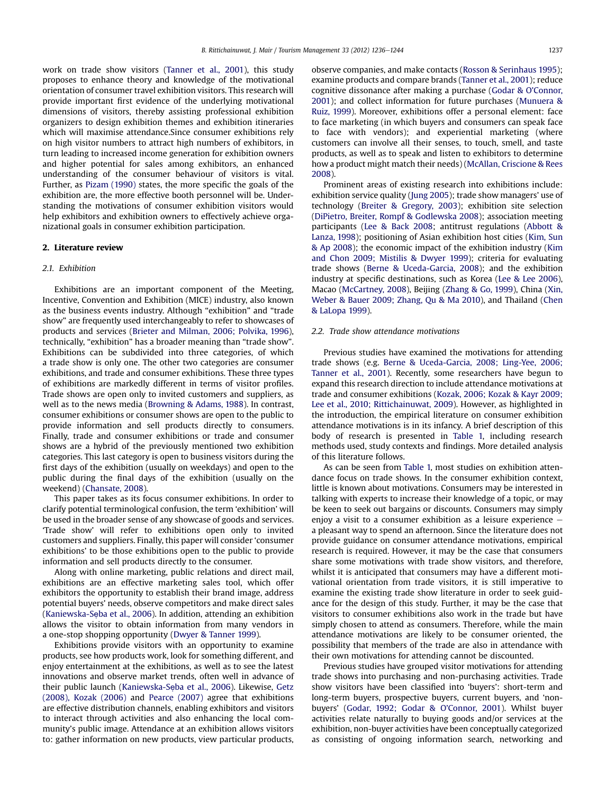work on trade show visitors ([Tanner et al., 2001\)](#page--1-0), this study proposes to enhance theory and knowledge of the motivational orientation of consumer travel exhibition visitors. This research will provide important first evidence of the underlying motivational dimensions of visitors, thereby assisting professional exhibition organizers to design exhibition themes and exhibition itineraries which will maximise attendance.Since consumer exhibitions rely on high visitor numbers to attract high numbers of exhibitors, in turn leading to increased income generation for exhibition owners and higher potential for sales among exhibitors, an enhanced understanding of the consumer behaviour of visitors is vital. Further, as [Pizam \(1990\)](#page--1-0) states, the more specific the goals of the exhibition are, the more effective booth personnel will be. Understanding the motivations of consumer exhibition visitors would help exhibitors and exhibition owners to effectively achieve organizational goals in consumer exhibition participation.

#### 2. Literature review

#### 2.1 **Exhibition**

Exhibitions are an important component of the Meeting, Incentive, Convention and Exhibition (MICE) industry, also known as the business events industry. Although "exhibition" and "trade show" are frequently used interchangeably to refer to showcases of products and services [\(Brieter and Milman, 2006; Polvika, 1996\)](#page--1-0), technically, "exhibition" has a broader meaning than "trade show". Exhibitions can be subdivided into three categories, of which a trade show is only one. The other two categories are consumer exhibitions, and trade and consumer exhibitions. These three types of exhibitions are markedly different in terms of visitor profiles. Trade shows are open only to invited customers and suppliers, as well as to the news media ([Browning & Adams, 1988](#page--1-0)). In contrast, consumer exhibitions or consumer shows are open to the public to provide information and sell products directly to consumers. Finally, trade and consumer exhibitions or trade and consumer shows are a hybrid of the previously mentioned two exhibition categories. This last category is open to business visitors during the first days of the exhibition (usually on weekdays) and open to the public during the final days of the exhibition (usually on the weekend) [\(Chansate, 2008](#page--1-0)).

This paper takes as its focus consumer exhibitions. In order to clarify potential terminological confusion, the term 'exhibition' will be used in the broader sense of any showcase of goods and services. 'Trade show' will refer to exhibitions open only to invited customers and suppliers. Finally, this paper will consider 'consumer exhibitions' to be those exhibitions open to the public to provide information and sell products directly to the consumer.

Along with online marketing, public relations and direct mail, exhibitions are an effective marketing sales tool, which offer exhibitors the opportunity to establish their brand image, address potential buyers' needs, observe competitors and make direct sales (Kaniewska-Sẹ[ba et al., 2006\)](#page--1-0). In addition, attending an exhibition allows the visitor to obtain information from many vendors in a one-stop shopping opportunity [\(Dwyer & Tanner 1999\)](#page--1-0).

Exhibitions provide visitors with an opportunity to examine products, see how products work, look for something different, and enjoy entertainment at the exhibitions, as well as to see the latest innovations and observe market trends, often well in advance of their public launch (Kaniewska-Sẹ[ba et al., 2006\)](#page--1-0). Likewise, [Getz](#page--1-0) [\(2008\), Kozak \(2006\)](#page--1-0) and [Pearce \(2007\)](#page--1-0) agree that exhibitions are effective distribution channels, enabling exhibitors and visitors to interact through activities and also enhancing the local community's public image. Attendance at an exhibition allows visitors to: gather information on new products, view particular products,

observe companies, and make contacts ([Rosson & Serinhaus 1995\)](#page--1-0); examine products and compare brands [\(Tanner et al., 2001](#page--1-0)); reduce cognitive dissonance after making a purchase ([Godar & O](#page--1-0)'Connor, [2001](#page--1-0)); and collect information for future purchases [\(Munuera &](#page--1-0) [Ruiz, 1999\)](#page--1-0). Moreover, exhibitions offer a personal element: face to face marketing (in which buyers and consumers can speak face to face with vendors); and experiential marketing (where customers can involve all their senses, to touch, smell, and taste products, as well as to speak and listen to exhibitors to determine how a product might match their needs) ([McAllan, Criscione & Rees](#page--1-0) [2008\)](#page--1-0).

Prominent areas of existing research into exhibitions include: exhibition service quality ([Jung 2005\)](#page--1-0); trade show managers' use of technology [\(Breiter & Gregory, 2003](#page--1-0)); exhibition site selection ([DiPietro, Breiter, Rompf & Godlewska 2008](#page--1-0)); association meeting participants [\(Lee & Back 2008;](#page--1-0) antitrust regulations ([Abbott &](#page--1-0) [Lanza, 1998\)](#page--1-0); positioning of Asian exhibition host cities [\(Kim, Sun](#page--1-0) [& Ap 2008](#page--1-0)); the economic impact of the exhibition industry [\(Kim](#page--1-0) [and Chon 2009; Mistilis & Dwyer 1999\)](#page--1-0); criteria for evaluating trade shows ([Berne & Uceda-Garcia, 2008\)](#page--1-0); and the exhibition industry at specific destinations, such as Korea [\(Lee & Lee 2006\)](#page--1-0), Macao ([McCartney, 2008](#page--1-0)), Beijing [\(Zhang & Go, 1999\)](#page--1-0), China ([Xin,](#page--1-0) [Weber & Bauer 2009; Zhang, Qu & Ma 2010](#page--1-0)), and Thailand [\(Chen](#page--1-0) [& LaLopa 1999\)](#page--1-0).

#### 2.2. Trade show attendance motivations

Previous studies have examined the motivations for attending trade shows (e.g. [Berne & Uceda-Garcia, 2008; Ling-Yee, 2006;](#page--1-0) [Tanner et al., 2001\)](#page--1-0). Recently, some researchers have begun to expand this research direction to include attendance motivations at trade and consumer exhibitions ([Kozak, 2006; Kozak & Kayr 2009;](#page--1-0) [Lee et al., 2010; Rittichainuwat, 2009\)](#page--1-0). However, as highlighted in the introduction, the empirical literature on consumer exhibition attendance motivations is in its infancy. A brief description of this body of research is presented in [Table 1,](#page--1-0) including research methods used, study contexts and findings. More detailed analysis of this literature follows.

As can be seen from [Table 1,](#page--1-0) most studies on exhibition attendance focus on trade shows. In the consumer exhibition context, little is known about motivations. Consumers may be interested in talking with experts to increase their knowledge of a topic, or may be keen to seek out bargains or discounts. Consumers may simply enjoy a visit to a consumer exhibition as a leisure experience  $$ a pleasant way to spend an afternoon. Since the literature does not provide guidance on consumer attendance motivations, empirical research is required. However, it may be the case that consumers share some motivations with trade show visitors, and therefore, whilst it is anticipated that consumers may have a different motivational orientation from trade visitors, it is still imperative to examine the existing trade show literature in order to seek guidance for the design of this study. Further, it may be the case that visitors to consumer exhibitions also work in the trade but have simply chosen to attend as consumers. Therefore, while the main attendance motivations are likely to be consumer oriented, the possibility that members of the trade are also in attendance with their own motivations for attending cannot be discounted.

Previous studies have grouped visitor motivations for attending trade shows into purchasing and non-purchasing activities. Trade show visitors have been classified into 'buyers': short-term and long-term buyers, prospective buyers, current buyers, and 'nonbuyers' ([Godar, 1992; Godar & O](#page--1-0)'Connor, 2001). Whilst buyer activities relate naturally to buying goods and/or services at the exhibition, non-buyer activities have been conceptually categorized as consisting of ongoing information search, networking and